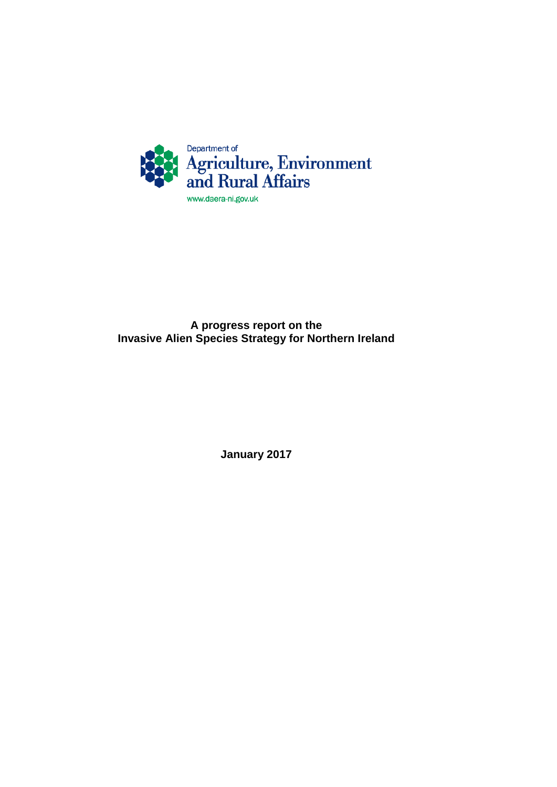

## **A progress report on the Invasive Alien Species Strategy for Northern Ireland**

**January 2017**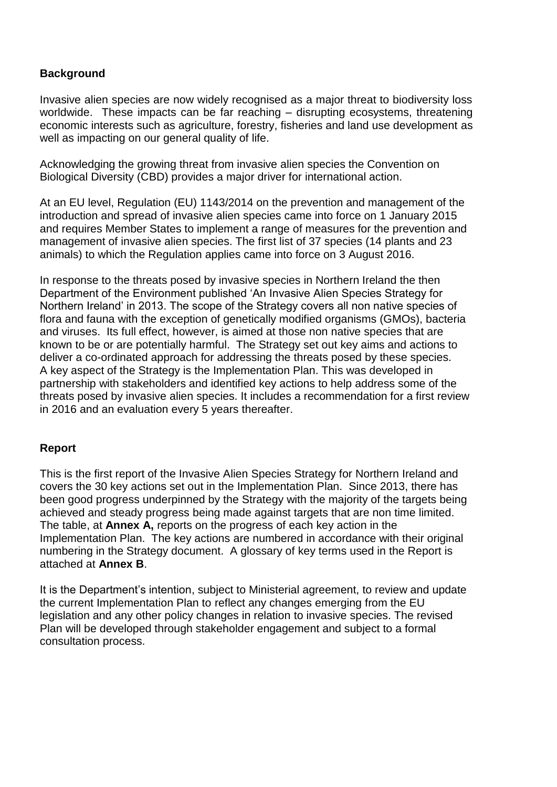### **Background**

Invasive alien species are now widely recognised as a major threat to biodiversity loss worldwide. These impacts can be far reaching – disrupting ecosystems, threatening economic interests such as agriculture, forestry, fisheries and land use development as well as impacting on our general quality of life.

Acknowledging the growing threat from invasive alien species the Convention on Biological Diversity (CBD) provides a major driver for international action.

At an EU level, Regulation (EU) 1143/2014 on the prevention and management of the introduction and spread of invasive alien species came into force on 1 January 2015 and requires Member States to implement a range of measures for the prevention and management of invasive alien species. The first list of 37 species (14 plants and 23 animals) to which the Regulation applies came into force on 3 August 2016.

In response to the threats posed by invasive species in Northern Ireland the then Department of the Environment published 'An Invasive Alien Species Strategy for Northern Ireland' in 2013. The scope of the Strategy covers all non native species of flora and fauna with the exception of genetically modified organisms (GMOs), bacteria and viruses. Its full effect, however, is aimed at those non native species that are known to be or are potentially harmful. The Strategy set out key aims and actions to deliver a co-ordinated approach for addressing the threats posed by these species. A key aspect of the Strategy is the Implementation Plan. This was developed in partnership with stakeholders and identified key actions to help address some of the threats posed by invasive alien species. It includes a recommendation for a first review in 2016 and an evaluation every 5 years thereafter.

#### **Report**

This is the first report of the Invasive Alien Species Strategy for Northern Ireland and covers the 30 key actions set out in the Implementation Plan. Since 2013, there has been good progress underpinned by the Strategy with the majority of the targets being achieved and steady progress being made against targets that are non time limited. The table, at **Annex A,** reports on the progress of each key action in the Implementation Plan. The key actions are numbered in accordance with their original numbering in the Strategy document. A glossary of key terms used in the Report is attached at **Annex B**.

It is the Department's intention, subject to Ministerial agreement, to review and update the current Implementation Plan to reflect any changes emerging from the EU legislation and any other policy changes in relation to invasive species. The revised Plan will be developed through stakeholder engagement and subject to a formal consultation process.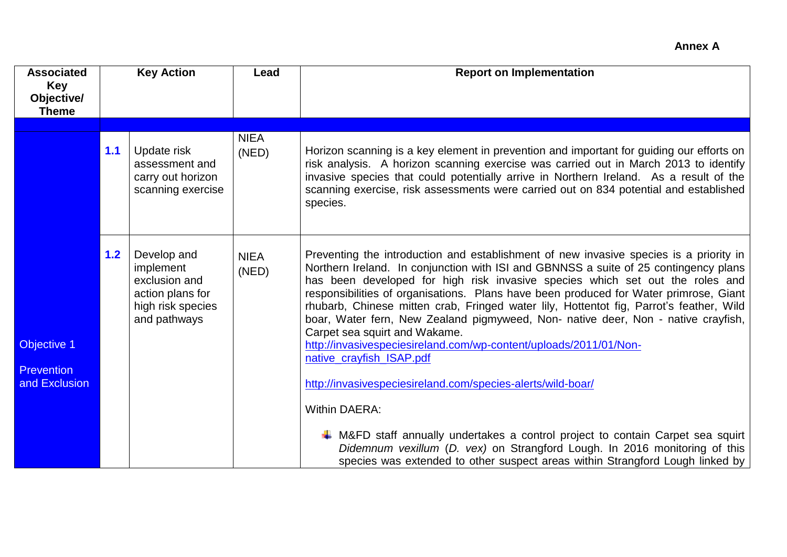| <b>Associated</b><br><b>Key</b><br>Objective/<br><b>Theme</b> |       | <b>Key Action</b>                                                                                  | Lead                 | <b>Report on Implementation</b>                                                                                                                                                                                                                                                                                                                                                                                                                                                                                                                                                                                                                                                                                                           |
|---------------------------------------------------------------|-------|----------------------------------------------------------------------------------------------------|----------------------|-------------------------------------------------------------------------------------------------------------------------------------------------------------------------------------------------------------------------------------------------------------------------------------------------------------------------------------------------------------------------------------------------------------------------------------------------------------------------------------------------------------------------------------------------------------------------------------------------------------------------------------------------------------------------------------------------------------------------------------------|
|                                                               |       |                                                                                                    |                      |                                                                                                                                                                                                                                                                                                                                                                                                                                                                                                                                                                                                                                                                                                                                           |
|                                                               | $1.1$ | Update risk<br>assessment and<br>carry out horizon<br>scanning exercise                            | <b>NIEA</b><br>(NED) | Horizon scanning is a key element in prevention and important for guiding our efforts on<br>risk analysis. A horizon scanning exercise was carried out in March 2013 to identify<br>invasive species that could potentially arrive in Northern Ireland. As a result of the<br>scanning exercise, risk assessments were carried out on 834 potential and established<br>species.                                                                                                                                                                                                                                                                                                                                                           |
| Objective 1<br><b>Prevention</b><br>and Exclusion             | 1.2   | Develop and<br>implement<br>exclusion and<br>action plans for<br>high risk species<br>and pathways | <b>NIEA</b><br>(NED) | Preventing the introduction and establishment of new invasive species is a priority in<br>Northern Ireland. In conjunction with ISI and GBNNSS a suite of 25 contingency plans<br>has been developed for high risk invasive species which set out the roles and<br>responsibilities of organisations. Plans have been produced for Water primrose, Giant<br>rhubarb, Chinese mitten crab, Fringed water lily, Hottentot fig, Parrot's feather, Wild<br>boar, Water fern, New Zealand pigmyweed, Non- native deer, Non - native crayfish,<br>Carpet sea squirt and Wakame.<br>http://invasivespeciesireland.com/wp-content/uploads/2011/01/Non-<br>native_crayfish_ISAP.pdf<br>http://invasivespeciesireland.com/species-alerts/wild-boar/ |
|                                                               |       |                                                                                                    |                      | <b>Within DAERA:</b><br>$\frac{1}{2}$ M&FD staff annually undertakes a control project to contain Carpet sea squirt<br>Didemnum vexillum (D. vex) on Strangford Lough. In 2016 monitoring of this<br>species was extended to other suspect areas within Strangford Lough linked by                                                                                                                                                                                                                                                                                                                                                                                                                                                        |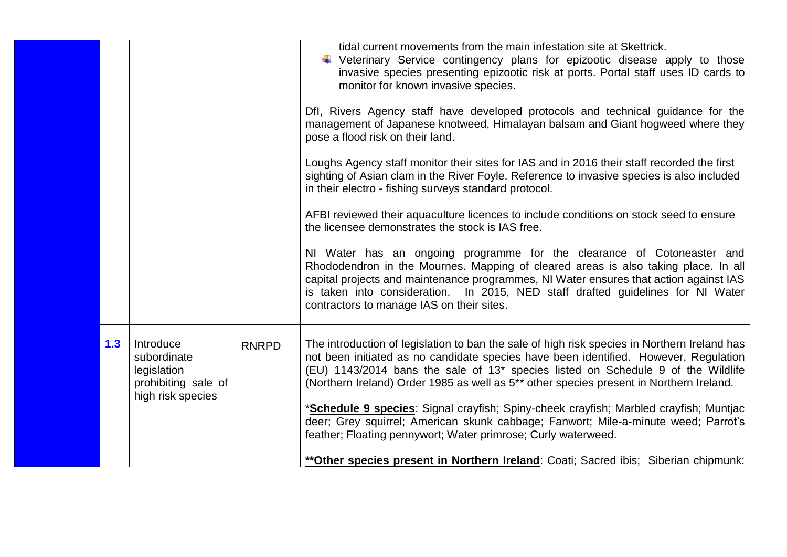| 1.3<br>Introduce<br><b>RNRPD</b><br>subordinate<br>legislation<br>(Northern Ireland) Order 1985 as well as 5 <sup>**</sup> other species present in Northern Ireland.<br>prohibiting sale of<br>high risk species<br>feather; Floating pennywort; Water primrose; Curly waterweed. |  |  | tidal current movements from the main infestation site at Skettrick.<br>Veterinary Service contingency plans for epizootic disease apply to those<br>invasive species presenting epizootic risk at ports. Portal staff uses ID cards to<br>monitor for known invasive species.<br>Dfl, Rivers Agency staff have developed protocols and technical guidance for the<br>management of Japanese knotweed, Himalayan balsam and Giant hogweed where they<br>pose a flood risk on their land.<br>Loughs Agency staff monitor their sites for IAS and in 2016 their staff recorded the first<br>sighting of Asian clam in the River Foyle. Reference to invasive species is also included<br>in their electro - fishing surveys standard protocol.<br>AFBI reviewed their aquaculture licences to include conditions on stock seed to ensure<br>the licensee demonstrates the stock is IAS free.<br>NI Water has an ongoing programme for the clearance of Cotoneaster and<br>Rhododendron in the Mournes. Mapping of cleared areas is also taking place. In all<br>capital projects and maintenance programmes, NI Water ensures that action against IAS<br>is taken into consideration. In 2015, NED staff drafted guidelines for NI Water<br>contractors to manage IAS on their sites. |
|------------------------------------------------------------------------------------------------------------------------------------------------------------------------------------------------------------------------------------------------------------------------------------|--|--|-------------------------------------------------------------------------------------------------------------------------------------------------------------------------------------------------------------------------------------------------------------------------------------------------------------------------------------------------------------------------------------------------------------------------------------------------------------------------------------------------------------------------------------------------------------------------------------------------------------------------------------------------------------------------------------------------------------------------------------------------------------------------------------------------------------------------------------------------------------------------------------------------------------------------------------------------------------------------------------------------------------------------------------------------------------------------------------------------------------------------------------------------------------------------------------------------------------------------------------------------------------------------------------|
|                                                                                                                                                                                                                                                                                    |  |  | The introduction of legislation to ban the sale of high risk species in Northern Ireland has<br>not been initiated as no candidate species have been identified. However, Regulation<br>(EU) 1143/2014 bans the sale of 13* species listed on Schedule 9 of the Wildlife<br>*Schedule 9 species: Signal crayfish; Spiny-cheek crayfish; Marbled crayfish; Muntjac<br>deer; Grey squirrel; American skunk cabbage; Fanwort; Mile-a-minute weed; Parrot's<br>** Other species present in Northern Ireland: Coati; Sacred ibis; Siberian chipmunk:                                                                                                                                                                                                                                                                                                                                                                                                                                                                                                                                                                                                                                                                                                                                     |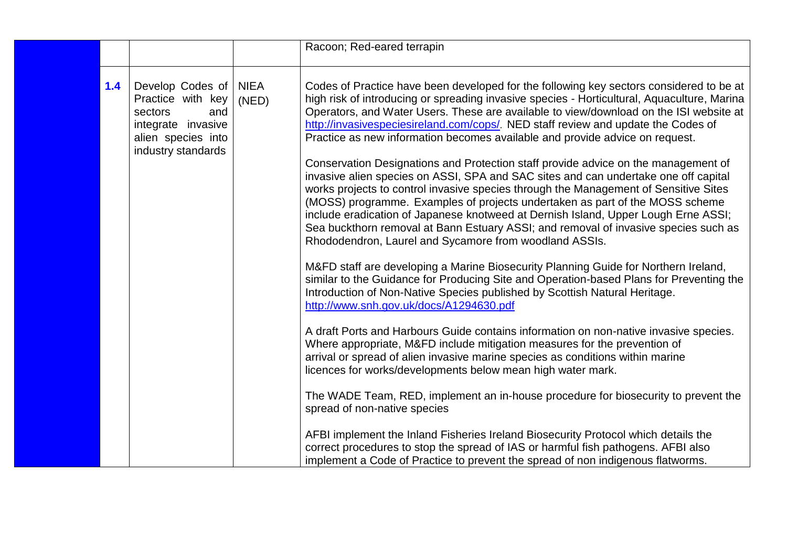|     |                                                                                                                           |                      | Racoon; Red-eared terrapin                                                                                                                                                                                                                                                                                                                                                                                                                                                                                                                                                                                                                                                                                                                                                                                                                                                                                                                                                              |
|-----|---------------------------------------------------------------------------------------------------------------------------|----------------------|-----------------------------------------------------------------------------------------------------------------------------------------------------------------------------------------------------------------------------------------------------------------------------------------------------------------------------------------------------------------------------------------------------------------------------------------------------------------------------------------------------------------------------------------------------------------------------------------------------------------------------------------------------------------------------------------------------------------------------------------------------------------------------------------------------------------------------------------------------------------------------------------------------------------------------------------------------------------------------------------|
| 1.4 | Develop Codes of<br>Practice with key<br>sectors<br>and<br>integrate invasive<br>alien species into<br>industry standards | <b>NIEA</b><br>(NED) | Codes of Practice have been developed for the following key sectors considered to be at<br>high risk of introducing or spreading invasive species - Horticultural, Aquaculture, Marina<br>Operators, and Water Users. These are available to view/download on the ISI website at<br>http://invasivespeciesireland.com/cops/. NED staff review and update the Codes of<br>Practice as new information becomes available and provide advice on request.<br>Conservation Designations and Protection staff provide advice on the management of<br>invasive alien species on ASSI, SPA and SAC sites and can undertake one off capital<br>works projects to control invasive species through the Management of Sensitive Sites<br>(MOSS) programme. Examples of projects undertaken as part of the MOSS scheme<br>include eradication of Japanese knotweed at Dernish Island, Upper Lough Erne ASSI;<br>Sea buckthorn removal at Bann Estuary ASSI; and removal of invasive species such as |
|     |                                                                                                                           |                      | Rhododendron, Laurel and Sycamore from woodland ASSIs.<br>M&FD staff are developing a Marine Biosecurity Planning Guide for Northern Ireland,<br>similar to the Guidance for Producing Site and Operation-based Plans for Preventing the<br>Introduction of Non-Native Species published by Scottish Natural Heritage.<br>http://www.snh.gov.uk/docs/A1294630.pdf<br>A draft Ports and Harbours Guide contains information on non-native invasive species.                                                                                                                                                                                                                                                                                                                                                                                                                                                                                                                              |
|     |                                                                                                                           |                      | Where appropriate, M&FD include mitigation measures for the prevention of<br>arrival or spread of alien invasive marine species as conditions within marine<br>licences for works/developments below mean high water mark.                                                                                                                                                                                                                                                                                                                                                                                                                                                                                                                                                                                                                                                                                                                                                              |
|     |                                                                                                                           |                      | The WADE Team, RED, implement an in-house procedure for biosecurity to prevent the<br>spread of non-native species                                                                                                                                                                                                                                                                                                                                                                                                                                                                                                                                                                                                                                                                                                                                                                                                                                                                      |
|     |                                                                                                                           |                      | AFBI implement the Inland Fisheries Ireland Biosecurity Protocol which details the<br>correct procedures to stop the spread of IAS or harmful fish pathogens. AFBI also<br>implement a Code of Practice to prevent the spread of non indigenous flatworms.                                                                                                                                                                                                                                                                                                                                                                                                                                                                                                                                                                                                                                                                                                                              |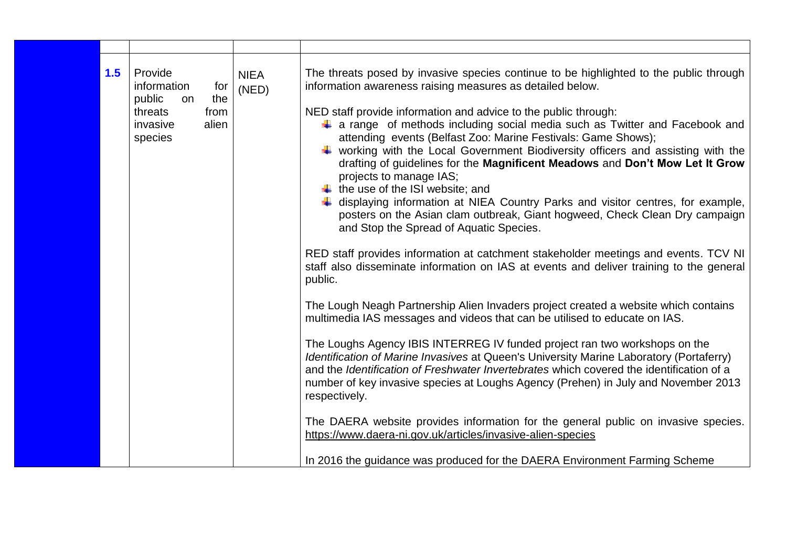| 1.5 | Provide<br>information<br>for<br>the<br>public<br>on<br>threats<br>from<br>invasive<br>alien<br>species | <b>NIEA</b><br>(NED) | The threats posed by invasive species continue to be highlighted to the public through<br>information awareness raising measures as detailed below.<br>NED staff provide information and advice to the public through:<br>$\downarrow$ a range of methods including social media such as Twitter and Facebook and<br>attending events (Belfast Zoo: Marine Festivals: Game Shows);<br>$\downarrow$ working with the Local Government Biodiversity officers and assisting with the<br>drafting of guidelines for the Magnificent Meadows and Don't Mow Let It Grow<br>projects to manage IAS;<br>$\ddot{\bullet}$ the use of the ISI website; and<br>$\ddagger$ displaying information at NIEA Country Parks and visitor centres, for example,<br>posters on the Asian clam outbreak, Giant hogweed, Check Clean Dry campaign<br>and Stop the Spread of Aquatic Species. |
|-----|---------------------------------------------------------------------------------------------------------|----------------------|-------------------------------------------------------------------------------------------------------------------------------------------------------------------------------------------------------------------------------------------------------------------------------------------------------------------------------------------------------------------------------------------------------------------------------------------------------------------------------------------------------------------------------------------------------------------------------------------------------------------------------------------------------------------------------------------------------------------------------------------------------------------------------------------------------------------------------------------------------------------------|
|     |                                                                                                         |                      | RED staff provides information at catchment stakeholder meetings and events. TCV NI<br>staff also disseminate information on IAS at events and deliver training to the general<br>public.                                                                                                                                                                                                                                                                                                                                                                                                                                                                                                                                                                                                                                                                               |
|     |                                                                                                         |                      | The Lough Neagh Partnership Alien Invaders project created a website which contains<br>multimedia IAS messages and videos that can be utilised to educate on IAS.                                                                                                                                                                                                                                                                                                                                                                                                                                                                                                                                                                                                                                                                                                       |
|     |                                                                                                         |                      | The Loughs Agency IBIS INTERREG IV funded project ran two workshops on the<br>Identification of Marine Invasives at Queen's University Marine Laboratory (Portaferry)<br>and the Identification of Freshwater Invertebrates which covered the identification of a<br>number of key invasive species at Loughs Agency (Prehen) in July and November 2013<br>respectively.                                                                                                                                                                                                                                                                                                                                                                                                                                                                                                |
|     |                                                                                                         |                      | The DAERA website provides information for the general public on invasive species.<br>https://www.daera-ni.gov.uk/articles/invasive-alien-species                                                                                                                                                                                                                                                                                                                                                                                                                                                                                                                                                                                                                                                                                                                       |
|     |                                                                                                         |                      | In 2016 the guidance was produced for the DAERA Environment Farming Scheme                                                                                                                                                                                                                                                                                                                                                                                                                                                                                                                                                                                                                                                                                                                                                                                              |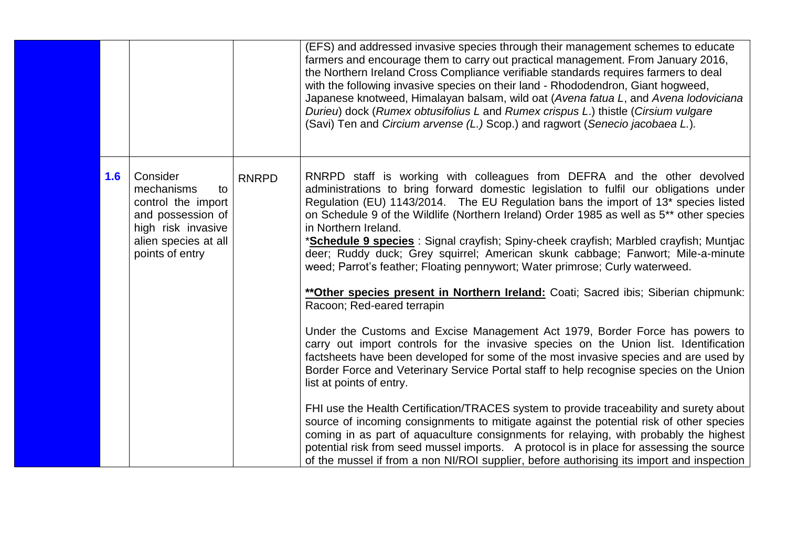|     |                                                                                                                                          |              | (EFS) and addressed invasive species through their management schemes to educate<br>farmers and encourage them to carry out practical management. From January 2016,<br>the Northern Ireland Cross Compliance verifiable standards requires farmers to deal<br>with the following invasive species on their land - Rhododendron, Giant hogweed,<br>Japanese knotweed, Himalayan balsam, wild oat (Avena fatua L, and Avena lodoviciana<br>Durieu) dock (Rumex obtusifolius L and Rumex crispus L.) thistle (Cirsium vulgare<br>(Savi) Ten and Circium arvense (L.) Scop.) and ragwort (Senecio jacobaea L.).                                                             |
|-----|------------------------------------------------------------------------------------------------------------------------------------------|--------------|--------------------------------------------------------------------------------------------------------------------------------------------------------------------------------------------------------------------------------------------------------------------------------------------------------------------------------------------------------------------------------------------------------------------------------------------------------------------------------------------------------------------------------------------------------------------------------------------------------------------------------------------------------------------------|
| 1.6 | Consider<br>mechanisms<br>to<br>control the import<br>and possession of<br>high risk invasive<br>alien species at all<br>points of entry | <b>RNRPD</b> | RNRPD staff is working with colleagues from DEFRA and the other devolved<br>administrations to bring forward domestic legislation to fulfil our obligations under<br>Regulation (EU) 1143/2014. The EU Regulation bans the import of 13 <sup>*</sup> species listed<br>on Schedule 9 of the Wildlife (Northern Ireland) Order 1985 as well as 5 <sup>**</sup> other species<br>in Northern Ireland.<br>* <b>Schedule 9 species</b> : Signal crayfish; Spiny-cheek crayfish; Marbled crayfish; Muntjac<br>deer; Ruddy duck; Grey squirrel; American skunk cabbage; Fanwort; Mile-a-minute<br>weed; Parrot's feather; Floating pennywort; Water primrose; Curly waterweed. |
|     |                                                                                                                                          |              | ** Other species present in Northern Ireland: Coati; Sacred ibis; Siberian chipmunk:<br>Racoon; Red-eared terrapin                                                                                                                                                                                                                                                                                                                                                                                                                                                                                                                                                       |
|     |                                                                                                                                          |              | Under the Customs and Excise Management Act 1979, Border Force has powers to<br>carry out import controls for the invasive species on the Union list. Identification<br>factsheets have been developed for some of the most invasive species and are used by<br>Border Force and Veterinary Service Portal staff to help recognise species on the Union<br>list at points of entry.                                                                                                                                                                                                                                                                                      |
|     |                                                                                                                                          |              | FHI use the Health Certification/TRACES system to provide traceability and surety about<br>source of incoming consignments to mitigate against the potential risk of other species<br>coming in as part of aquaculture consignments for relaying, with probably the highest<br>potential risk from seed mussel imports. A protocol is in place for assessing the source<br>of the mussel if from a non NI/ROI supplier, before authorising its import and inspection                                                                                                                                                                                                     |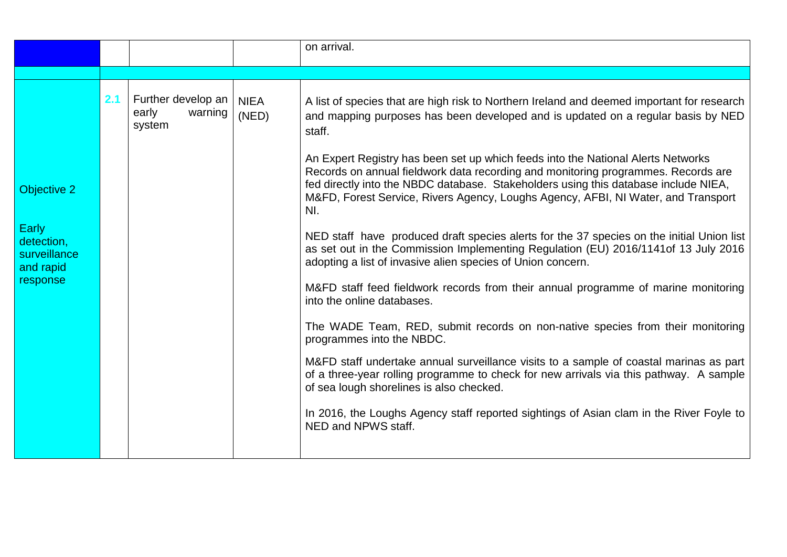|                                                                                    |     |                                                  |                      | on arrival.                                                                                                                                                                                                                                                                                                                                                                                                                                                                                                                                                                                                                                                                                                                                                                                                                                                                                                                                                                                                                                                                                                                                                                                                                                                                                                                                                                                 |
|------------------------------------------------------------------------------------|-----|--------------------------------------------------|----------------------|---------------------------------------------------------------------------------------------------------------------------------------------------------------------------------------------------------------------------------------------------------------------------------------------------------------------------------------------------------------------------------------------------------------------------------------------------------------------------------------------------------------------------------------------------------------------------------------------------------------------------------------------------------------------------------------------------------------------------------------------------------------------------------------------------------------------------------------------------------------------------------------------------------------------------------------------------------------------------------------------------------------------------------------------------------------------------------------------------------------------------------------------------------------------------------------------------------------------------------------------------------------------------------------------------------------------------------------------------------------------------------------------|
|                                                                                    |     |                                                  |                      |                                                                                                                                                                                                                                                                                                                                                                                                                                                                                                                                                                                                                                                                                                                                                                                                                                                                                                                                                                                                                                                                                                                                                                                                                                                                                                                                                                                             |
| <b>Objective 2</b><br>Early<br>detection,<br>surveillance<br>and rapid<br>response | 2.1 | Further develop an<br>warning<br>early<br>system | <b>NIEA</b><br>(NED) | A list of species that are high risk to Northern Ireland and deemed important for research<br>and mapping purposes has been developed and is updated on a regular basis by NED<br>staff.<br>An Expert Registry has been set up which feeds into the National Alerts Networks<br>Records on annual fieldwork data recording and monitoring programmes. Records are<br>fed directly into the NBDC database. Stakeholders using this database include NIEA,<br>M&FD, Forest Service, Rivers Agency, Loughs Agency, AFBI, NI Water, and Transport<br>NI.<br>NED staff have produced draft species alerts for the 37 species on the initial Union list<br>as set out in the Commission Implementing Regulation (EU) 2016/1141of 13 July 2016<br>adopting a list of invasive alien species of Union concern.<br>M&FD staff feed fieldwork records from their annual programme of marine monitoring<br>into the online databases.<br>The WADE Team, RED, submit records on non-native species from their monitoring<br>programmes into the NBDC.<br>M&FD staff undertake annual surveillance visits to a sample of coastal marinas as part<br>of a three-year rolling programme to check for new arrivals via this pathway. A sample<br>of sea lough shorelines is also checked.<br>In 2016, the Loughs Agency staff reported sightings of Asian clam in the River Foyle to<br>NED and NPWS staff. |
|                                                                                    |     |                                                  |                      |                                                                                                                                                                                                                                                                                                                                                                                                                                                                                                                                                                                                                                                                                                                                                                                                                                                                                                                                                                                                                                                                                                                                                                                                                                                                                                                                                                                             |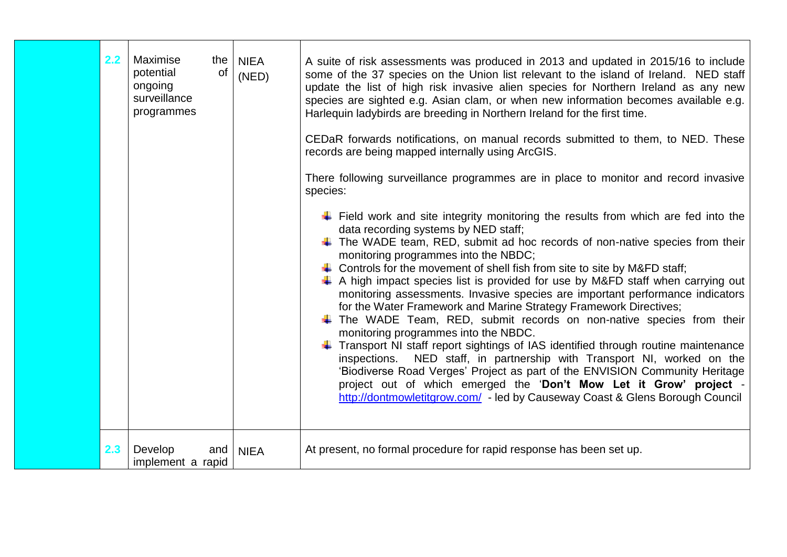| 2.2 | Maximise<br>the<br>potential<br>of<br>ongoing<br>surveillance<br>programmes | <b>NIEA</b><br>(NED) | A suite of risk assessments was produced in 2013 and updated in 2015/16 to include<br>some of the 37 species on the Union list relevant to the island of Ireland. NED staff<br>update the list of high risk invasive alien species for Northern Ireland as any new<br>species are sighted e.g. Asian clam, or when new information becomes available e.g.<br>Harlequin ladybirds are breeding in Northern Ireland for the first time.<br>CEDaR forwards notifications, on manual records submitted to them, to NED. These<br>records are being mapped internally using ArcGIS.<br>There following surveillance programmes are in place to monitor and record invasive<br>species:<br>$\downarrow$ Field work and site integrity monitoring the results from which are fed into the<br>data recording systems by NED staff;<br>$\ddot{\phantom{1}}$ The WADE team, RED, submit ad hoc records of non-native species from their<br>monitoring programmes into the NBDC;<br>$\ddot{\phantom{1}}$ Controls for the movement of shell fish from site to site by M&FD staff;<br>$\downarrow$ A high impact species list is provided for use by M&FD staff when carrying out<br>monitoring assessments. Invasive species are important performance indicators<br>for the Water Framework and Marine Strategy Framework Directives;<br>The WADE Team, RED, submit records on non-native species from their<br>monitoring programmes into the NBDC.<br>Transport NI staff report sightings of IAS identified through routine maintenance<br>NED staff, in partnership with Transport NI, worked on the<br>inspections.<br>'Biodiverse Road Verges' Project as part of the ENVISION Community Heritage<br>project out of which emerged the 'Don't Mow Let it Grow' project -<br>http://dontmowletitgrow.com/ - led by Causeway Coast & Glens Borough Council |
|-----|-----------------------------------------------------------------------------|----------------------|----------------------------------------------------------------------------------------------------------------------------------------------------------------------------------------------------------------------------------------------------------------------------------------------------------------------------------------------------------------------------------------------------------------------------------------------------------------------------------------------------------------------------------------------------------------------------------------------------------------------------------------------------------------------------------------------------------------------------------------------------------------------------------------------------------------------------------------------------------------------------------------------------------------------------------------------------------------------------------------------------------------------------------------------------------------------------------------------------------------------------------------------------------------------------------------------------------------------------------------------------------------------------------------------------------------------------------------------------------------------------------------------------------------------------------------------------------------------------------------------------------------------------------------------------------------------------------------------------------------------------------------------------------------------------------------------------------------------------------------------------------------------------------------------------------------------------------------------------|
| 2.3 | Develop<br>and<br>implement a rapid                                         | <b>NIEA</b>          | At present, no formal procedure for rapid response has been set up.                                                                                                                                                                                                                                                                                                                                                                                                                                                                                                                                                                                                                                                                                                                                                                                                                                                                                                                                                                                                                                                                                                                                                                                                                                                                                                                                                                                                                                                                                                                                                                                                                                                                                                                                                                                |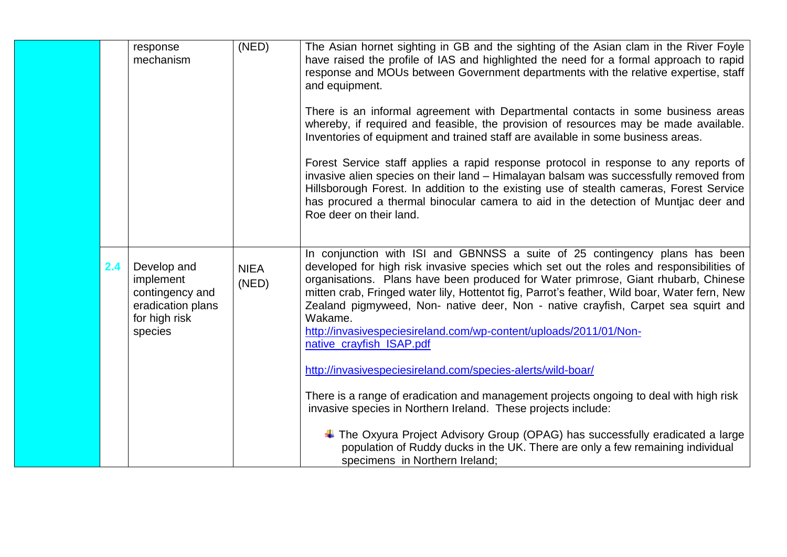|     | response<br>mechanism                                                                        | (NED)                | The Asian hornet sighting in GB and the sighting of the Asian clam in the River Foyle<br>have raised the profile of IAS and highlighted the need for a formal approach to rapid<br>response and MOUs between Government departments with the relative expertise, staff<br>and equipment.<br>There is an informal agreement with Departmental contacts in some business areas<br>whereby, if required and feasible, the provision of resources may be made available.<br>Inventories of equipment and trained staff are available in some business areas.<br>Forest Service staff applies a rapid response protocol in response to any reports of<br>invasive alien species on their land – Himalayan balsam was successfully removed from<br>Hillsborough Forest. In addition to the existing use of stealth cameras, Forest Service<br>has procured a thermal binocular camera to aid in the detection of Muntjac deer and<br>Roe deer on their land. |
|-----|----------------------------------------------------------------------------------------------|----------------------|--------------------------------------------------------------------------------------------------------------------------------------------------------------------------------------------------------------------------------------------------------------------------------------------------------------------------------------------------------------------------------------------------------------------------------------------------------------------------------------------------------------------------------------------------------------------------------------------------------------------------------------------------------------------------------------------------------------------------------------------------------------------------------------------------------------------------------------------------------------------------------------------------------------------------------------------------------|
| 2.4 | Develop and<br>implement<br>contingency and<br>eradication plans<br>for high risk<br>species | <b>NIEA</b><br>(NED) | In conjunction with ISI and GBNNSS a suite of 25 contingency plans has been<br>developed for high risk invasive species which set out the roles and responsibilities of<br>organisations. Plans have been produced for Water primrose, Giant rhubarb, Chinese<br>mitten crab, Fringed water lily, Hottentot fig, Parrot's feather, Wild boar, Water fern, New<br>Zealand pigmyweed, Non- native deer, Non - native crayfish, Carpet sea squirt and<br>Wakame.<br>http://invasivespeciesireland.com/wp-content/uploads/2011/01/Non-<br>native_crayfish_ISAP.pdf<br>http://invasivespeciesireland.com/species-alerts/wild-boar/<br>There is a range of eradication and management projects ongoing to deal with high risk<br>invasive species in Northern Ireland. These projects include:<br>$\ddot{+}$ The Oxyura Project Advisory Group (OPAG) has successfully eradicated a large                                                                    |
|     |                                                                                              |                      | population of Ruddy ducks in the UK. There are only a few remaining individual<br>specimens in Northern Ireland:                                                                                                                                                                                                                                                                                                                                                                                                                                                                                                                                                                                                                                                                                                                                                                                                                                       |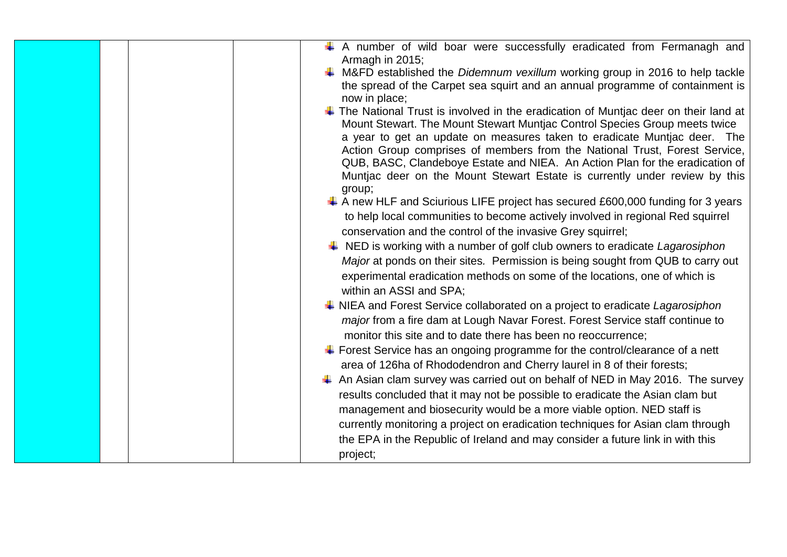| A number of wild boar were successfully eradicated from Fermanagh and<br>Armagh in 2015;      |
|-----------------------------------------------------------------------------------------------|
| $\ddot{*}$ M&FD established the <i>Didemnum vexillum</i> working group in 2016 to help tackle |
| the spread of the Carpet sea squirt and an annual programme of containment is                 |
| now in place;                                                                                 |
| $\ddag$ The National Trust is involved in the eradication of Muntiac deer on their land at    |
| Mount Stewart. The Mount Stewart Muntjac Control Species Group meets twice                    |
| a year to get an update on measures taken to eradicate Muntjac deer. The                      |
| Action Group comprises of members from the National Trust, Forest Service,                    |
| QUB, BASC, Clandeboye Estate and NIEA. An Action Plan for the eradication of                  |
| Muntjac deer on the Mount Stewart Estate is currently under review by this                    |
| group;                                                                                        |
| $\ddagger$ A new HLF and Sciurious LIFE project has secured £600,000 funding for 3 years      |
|                                                                                               |
| to help local communities to become actively involved in regional Red squirrel                |
| conservation and the control of the invasive Grey squirrel;                                   |
| $\ddot{+}$ NED is working with a number of golf club owners to eradicate Lagarosiphon         |
| Major at ponds on their sites. Permission is being sought from QUB to carry out               |
| experimental eradication methods on some of the locations, one of which is                    |
| within an ASSI and SPA;                                                                       |
| NIEA and Forest Service collaborated on a project to eradicate Lagarosiphon                   |
| major from a fire dam at Lough Navar Forest. Forest Service staff continue to                 |
|                                                                                               |
| monitor this site and to date there has been no reoccurrence;                                 |
| $\ddagger$ Forest Service has an ongoing programme for the control/clearance of a nett        |
| area of 126ha of Rhododendron and Cherry laurel in 8 of their forests;                        |
| An Asian clam survey was carried out on behalf of NED in May 2016. The survey                 |
| results concluded that it may not be possible to eradicate the Asian clam but                 |
| management and biosecurity would be a more viable option. NED staff is                        |
| currently monitoring a project on eradication techniques for Asian clam through               |
|                                                                                               |
| the EPA in the Republic of Ireland and may consider a future link in with this                |
| project;                                                                                      |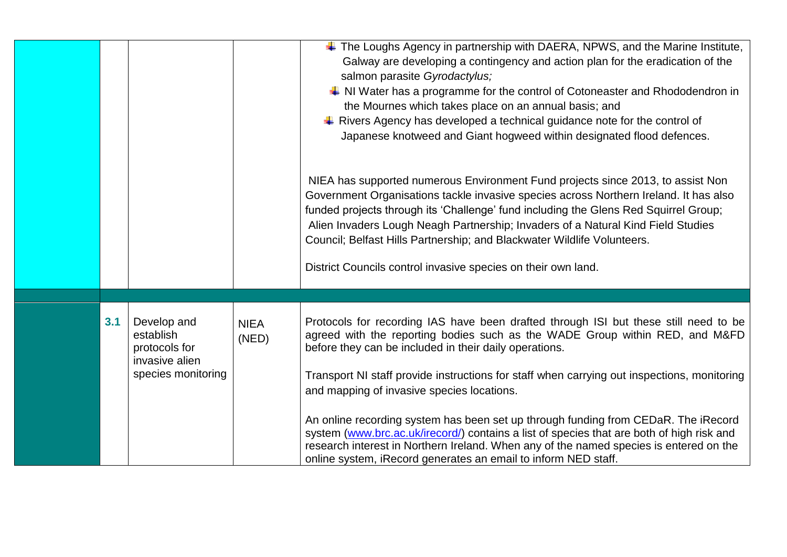|     |                                                                                   |                      | $\ddot{+}$ The Loughs Agency in partnership with DAERA, NPWS, and the Marine Institute,<br>Galway are developing a contingency and action plan for the eradication of the<br>salmon parasite Gyrodactylus;<br>$\downarrow$ NI Water has a programme for the control of Cotoneaster and Rhododendron in<br>the Mournes which takes place on an annual basis; and<br>$\downarrow$ Rivers Agency has developed a technical guidance note for the control of<br>Japanese knotweed and Giant hogweed within designated flood defences.                                                                                                                                                                                          |
|-----|-----------------------------------------------------------------------------------|----------------------|----------------------------------------------------------------------------------------------------------------------------------------------------------------------------------------------------------------------------------------------------------------------------------------------------------------------------------------------------------------------------------------------------------------------------------------------------------------------------------------------------------------------------------------------------------------------------------------------------------------------------------------------------------------------------------------------------------------------------|
|     |                                                                                   |                      | NIEA has supported numerous Environment Fund projects since 2013, to assist Non<br>Government Organisations tackle invasive species across Northern Ireland. It has also<br>funded projects through its 'Challenge' fund including the Glens Red Squirrel Group;<br>Alien Invaders Lough Neagh Partnership; Invaders of a Natural Kind Field Studies<br>Council; Belfast Hills Partnership; and Blackwater Wildlife Volunteers.<br>District Councils control invasive species on their own land.                                                                                                                                                                                                                           |
| 3.1 | Develop and<br>establish<br>protocols for<br>invasive alien<br>species monitoring | <b>NIEA</b><br>(NED) | Protocols for recording IAS have been drafted through ISI but these still need to be<br>agreed with the reporting bodies such as the WADE Group within RED, and M&FD<br>before they can be included in their daily operations.<br>Transport NI staff provide instructions for staff when carrying out inspections, monitoring<br>and mapping of invasive species locations.<br>An online recording system has been set up through funding from CEDaR. The iRecord<br>system (www.brc.ac.uk/irecord/) contains a list of species that are both of high risk and<br>research interest in Northern Ireland. When any of the named species is entered on the<br>online system, iRecord generates an email to inform NED staff. |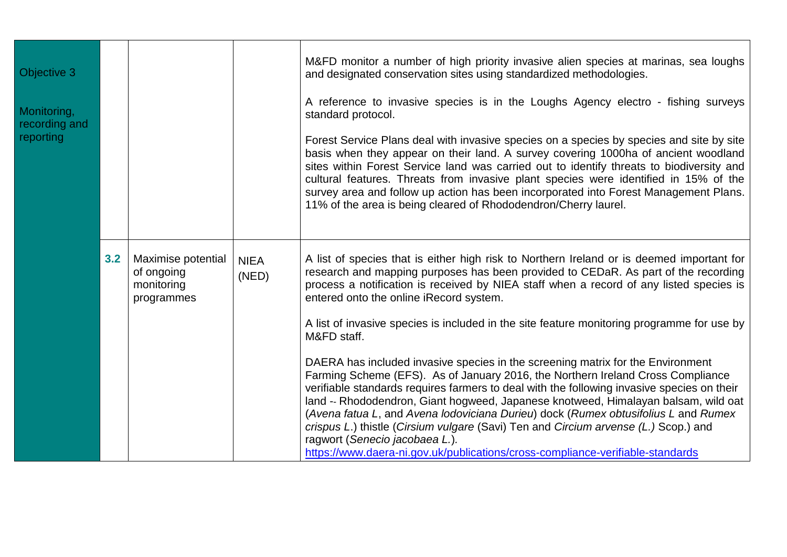| Objective 3<br>Monitoring,<br>recording and<br>reporting |     |                                                              |                      | M&FD monitor a number of high priority invasive alien species at marinas, sea loughs<br>and designated conservation sites using standardized methodologies.<br>A reference to invasive species is in the Loughs Agency electro - fishing surveys<br>standard protocol.<br>Forest Service Plans deal with invasive species on a species by species and site by site<br>basis when they appear on their land. A survey covering 1000ha of ancient woodland<br>sites within Forest Service land was carried out to identify threats to biodiversity and<br>cultural features. Threats from invasive plant species were identified in 15% of the<br>survey area and follow up action has been incorporated into Forest Management Plans.<br>11% of the area is being cleared of Rhododendron/Cherry laurel.                                                                                                                                                                                                                                                                                       |
|----------------------------------------------------------|-----|--------------------------------------------------------------|----------------------|-----------------------------------------------------------------------------------------------------------------------------------------------------------------------------------------------------------------------------------------------------------------------------------------------------------------------------------------------------------------------------------------------------------------------------------------------------------------------------------------------------------------------------------------------------------------------------------------------------------------------------------------------------------------------------------------------------------------------------------------------------------------------------------------------------------------------------------------------------------------------------------------------------------------------------------------------------------------------------------------------------------------------------------------------------------------------------------------------|
|                                                          | 3.2 | Maximise potential<br>of ongoing<br>monitoring<br>programmes | <b>NIEA</b><br>(NED) | A list of species that is either high risk to Northern Ireland or is deemed important for<br>research and mapping purposes has been provided to CEDaR. As part of the recording<br>process a notification is received by NIEA staff when a record of any listed species is<br>entered onto the online iRecord system.<br>A list of invasive species is included in the site feature monitoring programme for use by<br>M&FD staff.<br>DAERA has included invasive species in the screening matrix for the Environment<br>Farming Scheme (EFS). As of January 2016, the Northern Ireland Cross Compliance<br>verifiable standards requires farmers to deal with the following invasive species on their<br>land -- Rhododendron, Giant hogweed, Japanese knotweed, Himalayan balsam, wild oat<br>(Avena fatua L, and Avena lodoviciana Durieu) dock (Rumex obtusifolius L and Rumex<br>crispus L.) thistle (Cirsium vulgare (Savi) Ten and Circium arvense (L.) Scop.) and<br>ragwort (Senecio jacobaea L.).<br>https://www.daera-ni.gov.uk/publications/cross-compliance-verifiable-standards |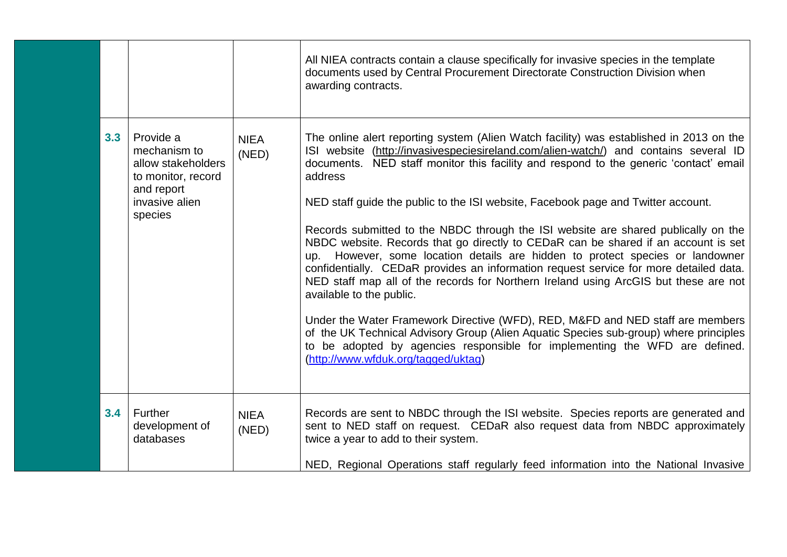|     |                                                                                                                  |                      | All NIEA contracts contain a clause specifically for invasive species in the template<br>documents used by Central Procurement Directorate Construction Division when<br>awarding contracts.                                                                                                                                                                                                                                                                                                                                                                                                                                                                                                                                                                                                                                                                                                                                                                                                                                                                                                                                                        |
|-----|------------------------------------------------------------------------------------------------------------------|----------------------|-----------------------------------------------------------------------------------------------------------------------------------------------------------------------------------------------------------------------------------------------------------------------------------------------------------------------------------------------------------------------------------------------------------------------------------------------------------------------------------------------------------------------------------------------------------------------------------------------------------------------------------------------------------------------------------------------------------------------------------------------------------------------------------------------------------------------------------------------------------------------------------------------------------------------------------------------------------------------------------------------------------------------------------------------------------------------------------------------------------------------------------------------------|
| 3.3 | Provide a<br>mechanism to<br>allow stakeholders<br>to monitor, record<br>and report<br>invasive alien<br>species | <b>NIEA</b><br>(NED) | The online alert reporting system (Alien Watch facility) was established in 2013 on the<br>ISI website (http://invasivespeciesireland.com/alien-watch/) and contains several ID<br>documents. NED staff monitor this facility and respond to the generic 'contact' email<br>address<br>NED staff guide the public to the ISI website, Facebook page and Twitter account.<br>Records submitted to the NBDC through the ISI website are shared publically on the<br>NBDC website. Records that go directly to CEDaR can be shared if an account is set<br>up. However, some location details are hidden to protect species or landowner<br>confidentially. CEDaR provides an information request service for more detailed data.<br>NED staff map all of the records for Northern Ireland using ArcGIS but these are not<br>available to the public.<br>Under the Water Framework Directive (WFD), RED, M&FD and NED staff are members<br>of the UK Technical Advisory Group (Alien Aquatic Species sub-group) where principles<br>to be adopted by agencies responsible for implementing the WFD are defined.<br>(http://www.wfduk.org/tagged/uktag) |
| 3.4 | <b>Further</b><br>development of<br>databases                                                                    | <b>NIEA</b><br>(NED) | Records are sent to NBDC through the ISI website. Species reports are generated and<br>sent to NED staff on request. CEDaR also request data from NBDC approximately<br>twice a year to add to their system.<br>NED, Regional Operations staff regularly feed information into the National Invasive                                                                                                                                                                                                                                                                                                                                                                                                                                                                                                                                                                                                                                                                                                                                                                                                                                                |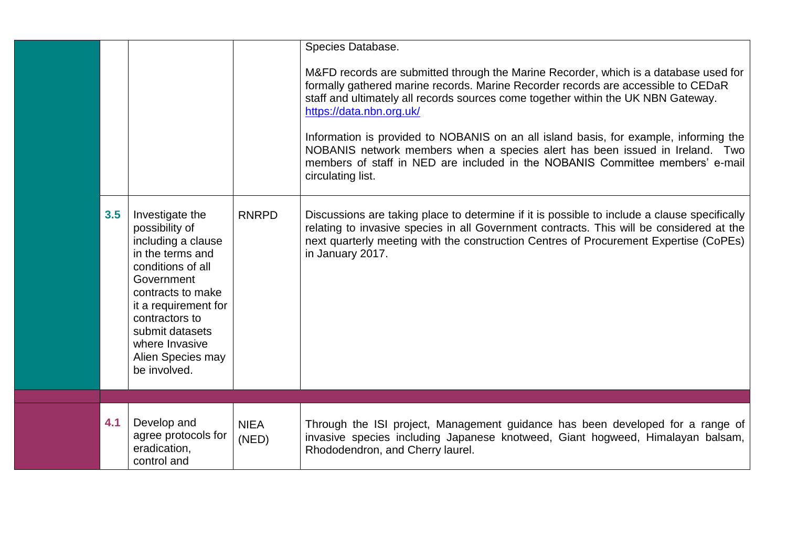| 3.5 | Investigate the<br>possibility of<br>including a clause<br>in the terms and<br>conditions of all<br>Government<br>contracts to make<br>it a requirement for<br>contractors to<br>submit datasets<br>where Invasive<br>Alien Species may<br>be involved. | <b>RNRPD</b>         | Species Database.<br>M&FD records are submitted through the Marine Recorder, which is a database used for<br>formally gathered marine records. Marine Recorder records are accessible to CEDaR<br>staff and ultimately all records sources come together within the UK NBN Gateway.<br>https://data.nbn.org.uk/<br>Information is provided to NOBANIS on an all island basis, for example, informing the<br>NOBANIS network members when a species alert has been issued in Ireland. Two<br>members of staff in NED are included in the NOBANIS Committee members' e-mail<br>circulating list.<br>Discussions are taking place to determine if it is possible to include a clause specifically<br>relating to invasive species in all Government contracts. This will be considered at the<br>next quarterly meeting with the construction Centres of Procurement Expertise (CoPEs)<br>in January 2017. |
|-----|---------------------------------------------------------------------------------------------------------------------------------------------------------------------------------------------------------------------------------------------------------|----------------------|---------------------------------------------------------------------------------------------------------------------------------------------------------------------------------------------------------------------------------------------------------------------------------------------------------------------------------------------------------------------------------------------------------------------------------------------------------------------------------------------------------------------------------------------------------------------------------------------------------------------------------------------------------------------------------------------------------------------------------------------------------------------------------------------------------------------------------------------------------------------------------------------------------|
|     |                                                                                                                                                                                                                                                         |                      |                                                                                                                                                                                                                                                                                                                                                                                                                                                                                                                                                                                                                                                                                                                                                                                                                                                                                                         |
| 4.1 | Develop and<br>agree protocols for<br>eradication,<br>control and                                                                                                                                                                                       | <b>NIEA</b><br>(NED) | Through the ISI project, Management guidance has been developed for a range of<br>invasive species including Japanese knotweed, Giant hogweed, Himalayan balsam,<br>Rhododendron, and Cherry laurel.                                                                                                                                                                                                                                                                                                                                                                                                                                                                                                                                                                                                                                                                                                    |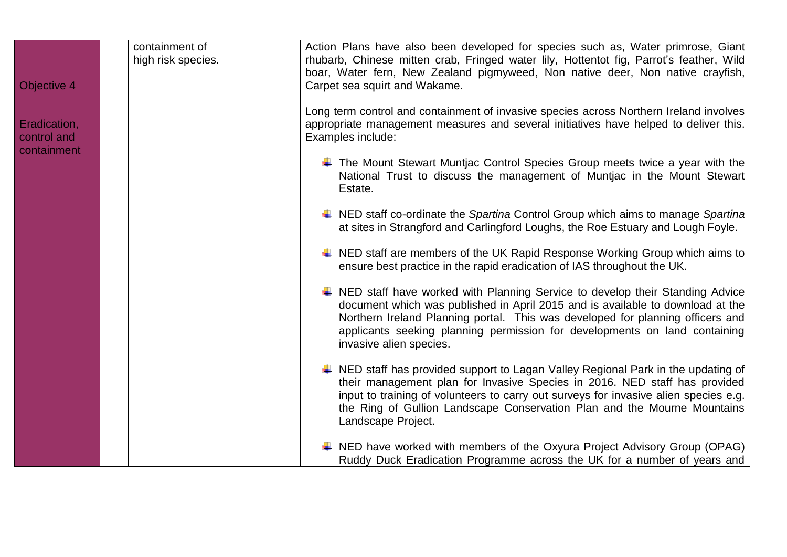| Objective 4                                | containment of<br>high risk species. | Action Plans have also been developed for species such as, Water primrose, Giant<br>rhubarb, Chinese mitten crab, Fringed water lily, Hottentot fig, Parrot's feather, Wild<br>boar, Water fern, New Zealand pigmyweed, Non native deer, Non native crayfish,<br>Carpet sea squirt and Wakame.                                                                     |
|--------------------------------------------|--------------------------------------|--------------------------------------------------------------------------------------------------------------------------------------------------------------------------------------------------------------------------------------------------------------------------------------------------------------------------------------------------------------------|
| Eradication,<br>control and<br>containment |                                      | Long term control and containment of invasive species across Northern Ireland involves<br>appropriate management measures and several initiatives have helped to deliver this.<br>Examples include:                                                                                                                                                                |
|                                            |                                      | $\ddot{*}$ The Mount Stewart Muntjac Control Species Group meets twice a year with the<br>National Trust to discuss the management of Muntiac in the Mount Stewart<br>Estate.                                                                                                                                                                                      |
|                                            |                                      | NED staff co-ordinate the Spartina Control Group which aims to manage Spartina<br>at sites in Strangford and Carlingford Loughs, the Roe Estuary and Lough Foyle.                                                                                                                                                                                                  |
|                                            |                                      | $\downarrow$ NED staff are members of the UK Rapid Response Working Group which aims to<br>ensure best practice in the rapid eradication of IAS throughout the UK.                                                                                                                                                                                                 |
|                                            |                                      | NED staff have worked with Planning Service to develop their Standing Advice<br>document which was published in April 2015 and is available to download at the<br>Northern Ireland Planning portal. This was developed for planning officers and<br>applicants seeking planning permission for developments on land containing<br>invasive alien species.          |
|                                            |                                      | $\ddot{*}$ NED staff has provided support to Lagan Valley Regional Park in the updating of<br>their management plan for Invasive Species in 2016. NED staff has provided<br>input to training of volunteers to carry out surveys for invasive alien species e.g.<br>the Ring of Gullion Landscape Conservation Plan and the Mourne Mountains<br>Landscape Project. |
|                                            |                                      | $\downarrow$ NED have worked with members of the Oxyura Project Advisory Group (OPAG)<br>Ruddy Duck Eradication Programme across the UK for a number of years and                                                                                                                                                                                                  |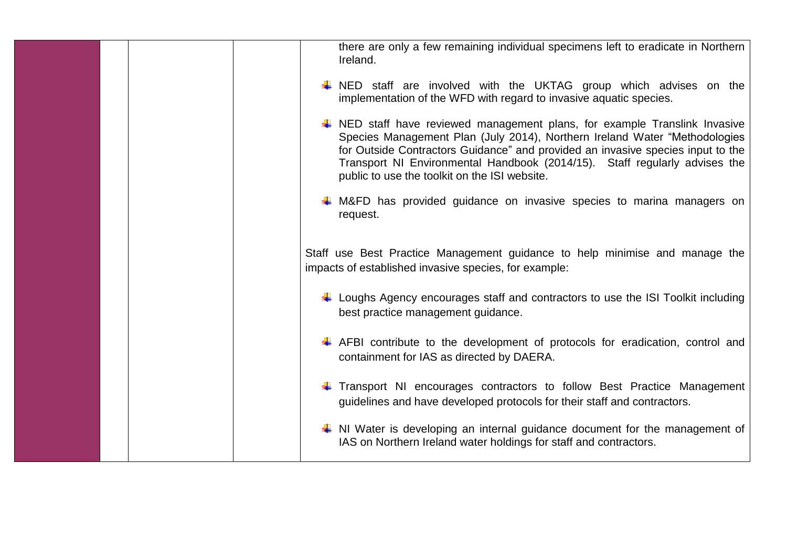|  | there are only a few remaining individual specimens left to eradicate in Northern<br>Ireland.                                                                                                                                                                                                                                                                                       |
|--|-------------------------------------------------------------------------------------------------------------------------------------------------------------------------------------------------------------------------------------------------------------------------------------------------------------------------------------------------------------------------------------|
|  | $\downarrow$ NED staff are involved with the UKTAG group which advises on the<br>implementation of the WFD with regard to invasive aquatic species.                                                                                                                                                                                                                                 |
|  | $\ddot{*}$ NED staff have reviewed management plans, for example Translink Invasive<br>Species Management Plan (July 2014), Northern Ireland Water "Methodologies<br>for Outside Contractors Guidance" and provided an invasive species input to the<br>Transport NI Environmental Handbook (2014/15). Staff regularly advises the<br>public to use the toolkit on the ISI website. |
|  | $\downarrow$ M&FD has provided guidance on invasive species to marina managers on<br>request.                                                                                                                                                                                                                                                                                       |
|  | Staff use Best Practice Management guidance to help minimise and manage the<br>impacts of established invasive species, for example:                                                                                                                                                                                                                                                |
|  | Loughs Agency encourages staff and contractors to use the ISI Toolkit including<br>best practice management guidance.                                                                                                                                                                                                                                                               |
|  | $\ddot{*}$ AFBI contribute to the development of protocols for eradication, control and<br>containment for IAS as directed by DAERA.                                                                                                                                                                                                                                                |
|  | Transport NI encourages contractors to follow Best Practice Management<br>guidelines and have developed protocols for their staff and contractors.                                                                                                                                                                                                                                  |
|  | $\uparrow$ NI Water is developing an internal guidance document for the management of<br>IAS on Northern Ireland water holdings for staff and contractors.                                                                                                                                                                                                                          |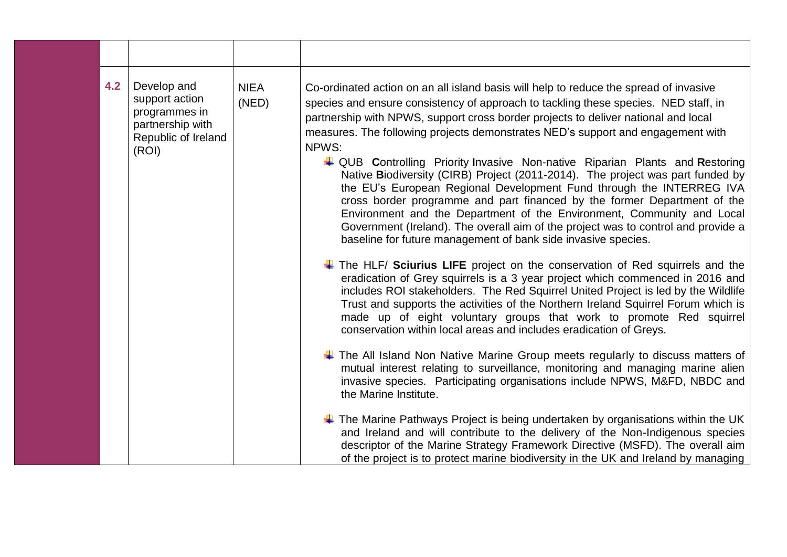| 4.2 | Develop and<br>support action<br>programmes in<br>partnership with<br>Republic of Ireland<br>(ROI) | <b>NIEA</b><br>(NED) | Co-ordinated action on an all island basis will help to reduce the spread of invasive<br>species and ensure consistency of approach to tackling these species. NED staff, in<br>partnership with NPWS, support cross border projects to deliver national and local<br>measures. The following projects demonstrates NED's support and engagement with<br>NPWS:<br>↓ QUB Controlling Priority Invasive Non-native Riparian Plants and Restoring<br>Native Biodiversity (CIRB) Project (2011-2014). The project was part funded by<br>the EU's European Regional Development Fund through the INTERREG IVA<br>cross border programme and part financed by the former Department of the<br>Environment and the Department of the Environment, Community and Local<br>Government (Ireland). The overall aim of the project was to control and provide a<br>baseline for future management of bank side invasive species. |
|-----|----------------------------------------------------------------------------------------------------|----------------------|----------------------------------------------------------------------------------------------------------------------------------------------------------------------------------------------------------------------------------------------------------------------------------------------------------------------------------------------------------------------------------------------------------------------------------------------------------------------------------------------------------------------------------------------------------------------------------------------------------------------------------------------------------------------------------------------------------------------------------------------------------------------------------------------------------------------------------------------------------------------------------------------------------------------|
|     |                                                                                                    |                      | $\ddot$ The HLF/ Sciurius LIFE project on the conservation of Red squirrels and the<br>eradication of Grey squirrels is a 3 year project which commenced in 2016 and<br>includes ROI stakeholders. The Red Squirrel United Project is led by the Wildlife<br>Trust and supports the activities of the Northern Ireland Squirrel Forum which is<br>made up of eight voluntary groups that work to promote Red squirrel<br>conservation within local areas and includes eradication of Greys.                                                                                                                                                                                                                                                                                                                                                                                                                          |
|     |                                                                                                    |                      | $\ddot$ The All Island Non Native Marine Group meets regularly to discuss matters of<br>mutual interest relating to surveillance, monitoring and managing marine alien<br>invasive species. Participating organisations include NPWS, M&FD, NBDC and<br>the Marine Institute.                                                                                                                                                                                                                                                                                                                                                                                                                                                                                                                                                                                                                                        |
|     |                                                                                                    |                      | $\ddot{\phantom{1}}$ The Marine Pathways Project is being undertaken by organisations within the UK<br>and Ireland and will contribute to the delivery of the Non-Indigenous species<br>descriptor of the Marine Strategy Framework Directive (MSFD). The overall aim<br>of the project is to protect marine biodiversity in the UK and Ireland by managing                                                                                                                                                                                                                                                                                                                                                                                                                                                                                                                                                          |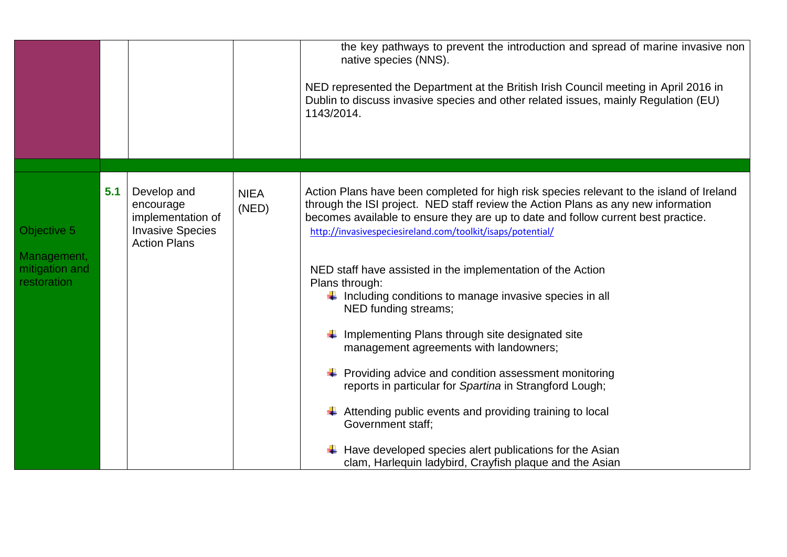|                                              |     |                                                |                      | the key pathways to prevent the introduction and spread of marine invasive non<br>native species (NNS).<br>NED represented the Department at the British Irish Council meeting in April 2016 in<br>Dublin to discuss invasive species and other related issues, mainly Regulation (EU)<br>1143/2014. |
|----------------------------------------------|-----|------------------------------------------------|----------------------|------------------------------------------------------------------------------------------------------------------------------------------------------------------------------------------------------------------------------------------------------------------------------------------------------|
|                                              |     |                                                |                      |                                                                                                                                                                                                                                                                                                      |
|                                              | 5.1 | Develop and<br>encourage                       | <b>NIEA</b><br>(NED) | Action Plans have been completed for high risk species relevant to the island of Ireland<br>through the ISI project. NED staff review the Action Plans as any new information                                                                                                                        |
|                                              |     | implementation of                              |                      | becomes available to ensure they are up to date and follow current best practice.                                                                                                                                                                                                                    |
| Objective 5                                  |     | <b>Invasive Species</b><br><b>Action Plans</b> |                      | http://invasivespeciesireland.com/toolkit/isaps/potential/                                                                                                                                                                                                                                           |
| Management,<br>mitigation and<br>restoration |     |                                                |                      | NED staff have assisted in the implementation of the Action<br>Plans through:<br>$\downarrow$ Including conditions to manage invasive species in all<br>NED funding streams;                                                                                                                         |
|                                              |     |                                                |                      | Implementing Plans through site designated site<br>management agreements with landowners;                                                                                                                                                                                                            |
|                                              |     |                                                |                      | $\leftarrow$ Providing advice and condition assessment monitoring<br>reports in particular for Spartina in Strangford Lough;                                                                                                                                                                         |
|                                              |     |                                                |                      | Attending public events and providing training to local<br><b>Government staff:</b>                                                                                                                                                                                                                  |
|                                              |     |                                                |                      | Have developed species alert publications for the Asian<br>clam, Harlequin ladybird, Crayfish plaque and the Asian                                                                                                                                                                                   |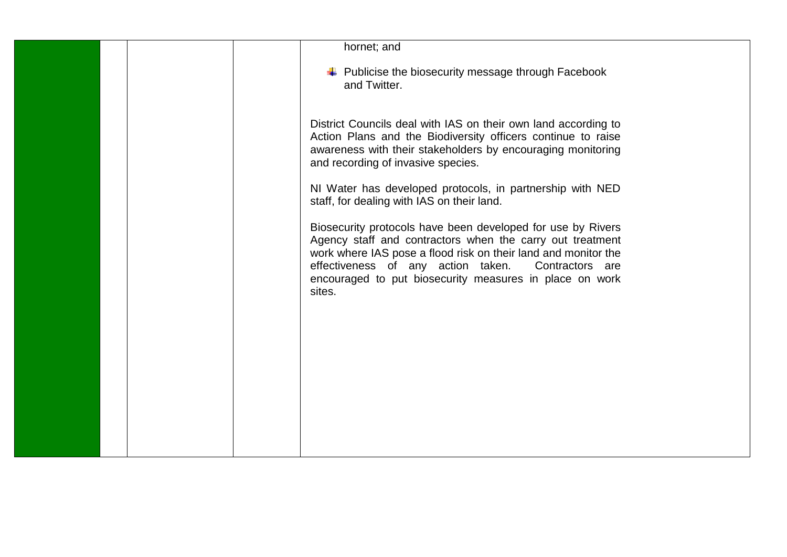|  | hornet; and                                                                                                                                                                                                                                                                                                           |
|--|-----------------------------------------------------------------------------------------------------------------------------------------------------------------------------------------------------------------------------------------------------------------------------------------------------------------------|
|  |                                                                                                                                                                                                                                                                                                                       |
|  | + Publicise the biosecurity message through Facebook<br>and Twitter.                                                                                                                                                                                                                                                  |
|  | District Councils deal with IAS on their own land according to<br>Action Plans and the Biodiversity officers continue to raise<br>awareness with their stakeholders by encouraging monitoring<br>and recording of invasive species.                                                                                   |
|  | NI Water has developed protocols, in partnership with NED<br>staff, for dealing with IAS on their land.                                                                                                                                                                                                               |
|  | Biosecurity protocols have been developed for use by Rivers<br>Agency staff and contractors when the carry out treatment<br>work where IAS pose a flood risk on their land and monitor the<br>effectiveness of any action taken. Contractors are<br>encouraged to put biosecurity measures in place on work<br>sites. |
|  |                                                                                                                                                                                                                                                                                                                       |
|  |                                                                                                                                                                                                                                                                                                                       |
|  |                                                                                                                                                                                                                                                                                                                       |
|  |                                                                                                                                                                                                                                                                                                                       |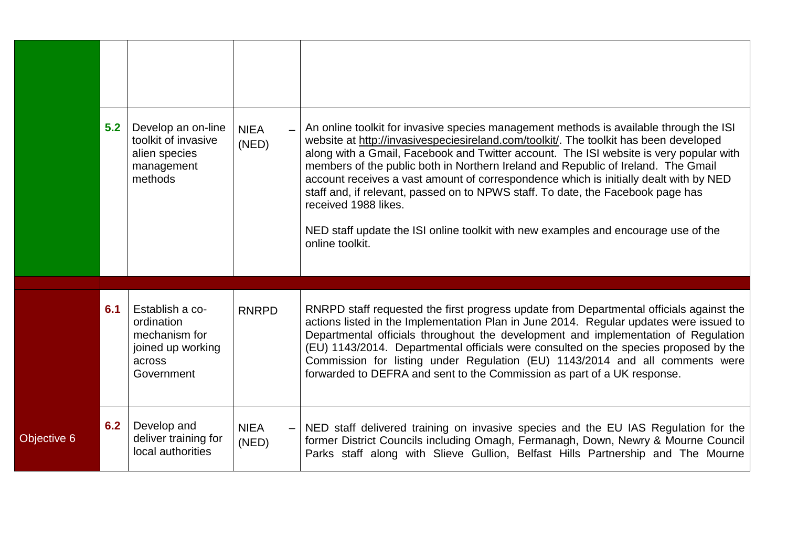|             | 5.2 | Develop an on-line<br>toolkit of invasive<br>alien species<br>management<br>methods         | <b>NIEA</b><br>(NED) | An online toolkit for invasive species management methods is available through the ISI<br>website at http://invasivespeciesireland.com/toolkit/. The toolkit has been developed<br>along with a Gmail, Facebook and Twitter account. The ISI website is very popular with<br>members of the public both in Northern Ireland and Republic of Ireland. The Gmail<br>account receives a vast amount of correspondence which is initially dealt with by NED<br>staff and, if relevant, passed on to NPWS staff. To date, the Facebook page has<br>received 1988 likes.<br>NED staff update the ISI online toolkit with new examples and encourage use of the<br>online toolkit. |
|-------------|-----|---------------------------------------------------------------------------------------------|----------------------|-----------------------------------------------------------------------------------------------------------------------------------------------------------------------------------------------------------------------------------------------------------------------------------------------------------------------------------------------------------------------------------------------------------------------------------------------------------------------------------------------------------------------------------------------------------------------------------------------------------------------------------------------------------------------------|
|             | 6.1 | Establish a co-<br>ordination<br>mechanism for<br>joined up working<br>across<br>Government | <b>RNRPD</b>         | RNRPD staff requested the first progress update from Departmental officials against the<br>actions listed in the Implementation Plan in June 2014. Regular updates were issued to<br>Departmental officials throughout the development and implementation of Regulation<br>(EU) 1143/2014. Departmental officials were consulted on the species proposed by the<br>Commission for listing under Regulation (EU) 1143/2014 and all comments were<br>forwarded to DEFRA and sent to the Commission as part of a UK response.                                                                                                                                                  |
| Objective 6 | 6.2 | Develop and<br>deliver training for<br>local authorities                                    | <b>NIEA</b><br>(NED) | NED staff delivered training on invasive species and the EU IAS Regulation for the<br>former District Councils including Omagh, Fermanagh, Down, Newry & Mourne Council<br>Parks staff along with Slieve Gullion, Belfast Hills Partnership and The Mourne                                                                                                                                                                                                                                                                                                                                                                                                                  |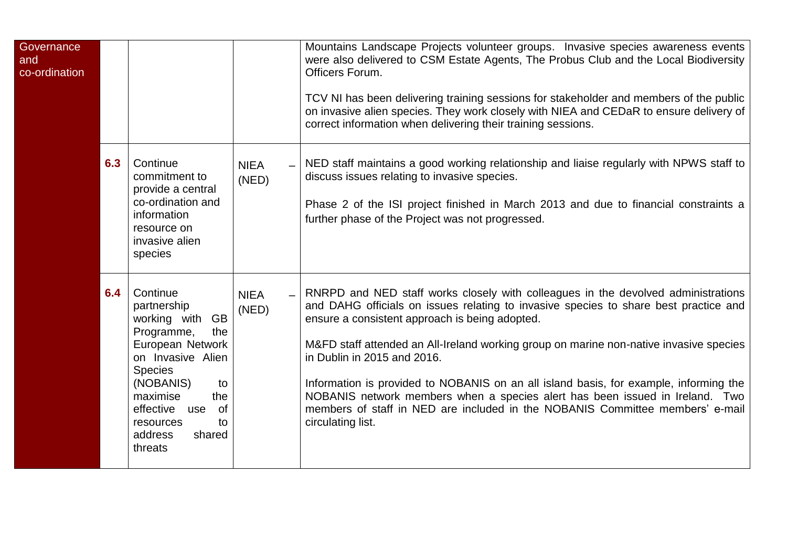| Governance<br>and<br>co-ordination |     |                                                                                                                                                                                                                                                         |                      | Mountains Landscape Projects volunteer groups. Invasive species awareness events<br>were also delivered to CSM Estate Agents, The Probus Club and the Local Biodiversity<br>Officers Forum.<br>TCV NI has been delivering training sessions for stakeholder and members of the public<br>on invasive alien species. They work closely with NIEA and CEDaR to ensure delivery of<br>correct information when delivering their training sessions.                                                                                                                                                                                     |
|------------------------------------|-----|---------------------------------------------------------------------------------------------------------------------------------------------------------------------------------------------------------------------------------------------------------|----------------------|-------------------------------------------------------------------------------------------------------------------------------------------------------------------------------------------------------------------------------------------------------------------------------------------------------------------------------------------------------------------------------------------------------------------------------------------------------------------------------------------------------------------------------------------------------------------------------------------------------------------------------------|
|                                    | 6.3 | Continue<br>commitment to<br>provide a central<br>co-ordination and<br>information<br>resource on<br>invasive alien<br>species                                                                                                                          | <b>NIEA</b><br>(NED) | NED staff maintains a good working relationship and liaise regularly with NPWS staff to<br>discuss issues relating to invasive species.<br>Phase 2 of the ISI project finished in March 2013 and due to financial constraints a<br>further phase of the Project was not progressed.                                                                                                                                                                                                                                                                                                                                                 |
|                                    | 6.4 | Continue<br>partnership<br>working with<br><b>GB</b><br>Programme,<br>the<br>European Network<br>on Invasive Alien<br><b>Species</b><br>(NOBANIS)<br>to<br>maximise<br>the<br>effective<br>of<br>use<br>resources<br>to<br>address<br>shared<br>threats | <b>NIEA</b><br>(NED) | RNRPD and NED staff works closely with colleagues in the devolved administrations<br>and DAHG officials on issues relating to invasive species to share best practice and<br>ensure a consistent approach is being adopted.<br>M&FD staff attended an All-Ireland working group on marine non-native invasive species<br>in Dublin in 2015 and 2016.<br>Information is provided to NOBANIS on an all island basis, for example, informing the<br>NOBANIS network members when a species alert has been issued in Ireland. Two<br>members of staff in NED are included in the NOBANIS Committee members' e-mail<br>circulating list. |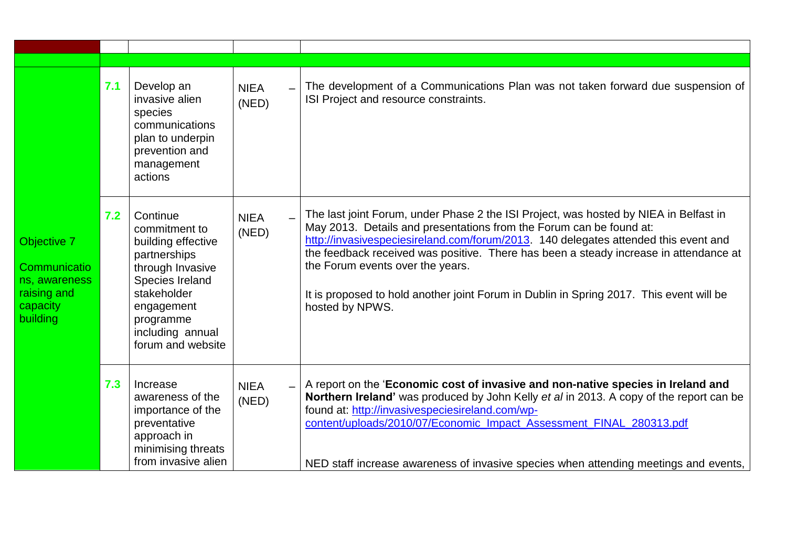|                                                                                     | 7.1 | Develop an<br>invasive alien<br>species<br>communications<br>plan to underpin<br>prevention and<br>management<br>actions                                                                  | <b>NIEA</b><br>(NED) | The development of a Communications Plan was not taken forward due suspension of<br>ISI Project and resource constraints.                                                                                                                                                                                                                                                                                                                                                                      |
|-------------------------------------------------------------------------------------|-----|-------------------------------------------------------------------------------------------------------------------------------------------------------------------------------------------|----------------------|------------------------------------------------------------------------------------------------------------------------------------------------------------------------------------------------------------------------------------------------------------------------------------------------------------------------------------------------------------------------------------------------------------------------------------------------------------------------------------------------|
| Objective 7<br>Communicatio<br>ns, awareness<br>raising and<br>capacity<br>building | 7.2 | Continue<br>commitment to<br>building effective<br>partnerships<br>through Invasive<br>Species Ireland<br>stakeholder<br>engagement<br>programme<br>including annual<br>forum and website | <b>NIEA</b><br>(NED) | The last joint Forum, under Phase 2 the ISI Project, was hosted by NIEA in Belfast in<br>May 2013. Details and presentations from the Forum can be found at:<br>http://invasivespeciesireland.com/forum/2013. 140 delegates attended this event and<br>the feedback received was positive. There has been a steady increase in attendance at<br>the Forum events over the years.<br>It is proposed to hold another joint Forum in Dublin in Spring 2017. This event will be<br>hosted by NPWS. |
|                                                                                     | 7.3 | Increase<br>awareness of the<br>importance of the<br>preventative<br>approach in<br>minimising threats<br>from invasive alien                                                             | <b>NIEA</b><br>(NED) | A report on the 'Economic cost of invasive and non-native species in Ireland and<br>Northern Ireland' was produced by John Kelly et al in 2013. A copy of the report can be<br>found at: http://invasivespeciesireland.com/wp-<br>content/uploads/2010/07/Economic_Impact_Assessment_FINAL_280313.pdf<br>NED staff increase awareness of invasive species when attending meetings and events,                                                                                                  |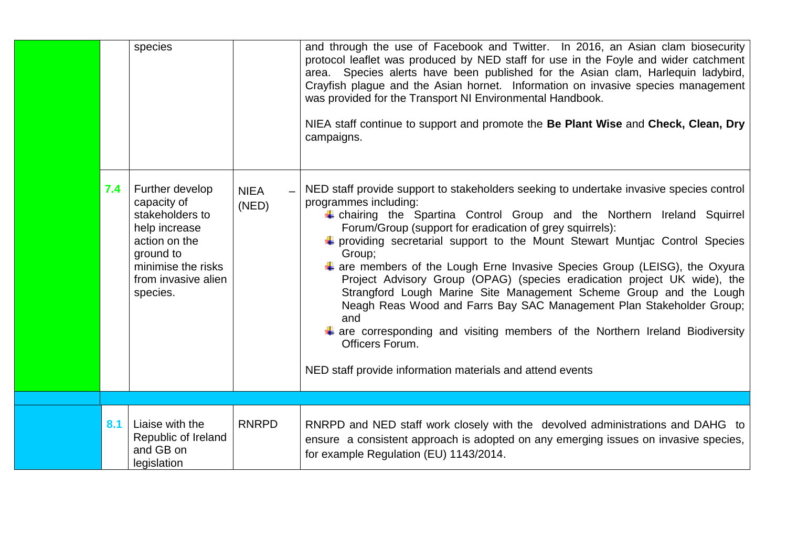|     | species                                                                                                                                                   |                      | and through the use of Facebook and Twitter. In 2016, an Asian clam biosecurity<br>protocol leaflet was produced by NED staff for use in the Foyle and wider catchment<br>area. Species alerts have been published for the Asian clam, Harlequin ladybird,<br>Crayfish plague and the Asian hornet. Information on invasive species management<br>was provided for the Transport NI Environmental Handbook.<br>NIEA staff continue to support and promote the Be Plant Wise and Check, Clean, Dry<br>campaigns.                                                                                                                                                                                                                                                                                                                                  |
|-----|-----------------------------------------------------------------------------------------------------------------------------------------------------------|----------------------|--------------------------------------------------------------------------------------------------------------------------------------------------------------------------------------------------------------------------------------------------------------------------------------------------------------------------------------------------------------------------------------------------------------------------------------------------------------------------------------------------------------------------------------------------------------------------------------------------------------------------------------------------------------------------------------------------------------------------------------------------------------------------------------------------------------------------------------------------|
| 7.4 | Further develop<br>capacity of<br>stakeholders to<br>help increase<br>action on the<br>ground to<br>minimise the risks<br>from invasive alien<br>species. | <b>NIEA</b><br>(NED) | NED staff provide support to stakeholders seeking to undertake invasive species control<br>programmes including:<br>+ chairing the Spartina Control Group and the Northern Ireland Squirrel<br>Forum/Group (support for eradication of grey squirrels):<br>+ providing secretarial support to the Mount Stewart Muntjac Control Species<br>Group;<br>$\ddag$ are members of the Lough Erne Invasive Species Group (LEISG), the Oxyura<br>Project Advisory Group (OPAG) (species eradication project UK wide), the<br>Strangford Lough Marine Site Management Scheme Group and the Lough<br>Neagh Reas Wood and Farrs Bay SAC Management Plan Stakeholder Group;<br>and<br>$\ddagger$ are corresponding and visiting members of the Northern Ireland Biodiversity<br>Officers Forum.<br>NED staff provide information materials and attend events |
|     |                                                                                                                                                           |                      |                                                                                                                                                                                                                                                                                                                                                                                                                                                                                                                                                                                                                                                                                                                                                                                                                                                  |
| 8.1 | Liaise with the<br>Republic of Ireland<br>and GB on<br>legislation                                                                                        | <b>RNRPD</b>         | RNRPD and NED staff work closely with the devolved administrations and DAHG to<br>ensure a consistent approach is adopted on any emerging issues on invasive species,<br>for example Regulation (EU) 1143/2014.                                                                                                                                                                                                                                                                                                                                                                                                                                                                                                                                                                                                                                  |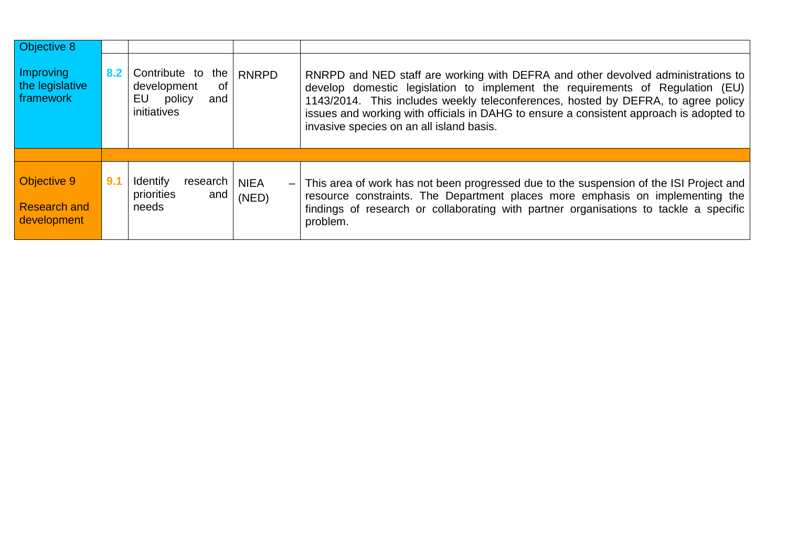| Objective 8                                       |     |                                                                              |                      |                                                                                                                                                                                                                                                                                                                                                                                               |
|---------------------------------------------------|-----|------------------------------------------------------------------------------|----------------------|-----------------------------------------------------------------------------------------------------------------------------------------------------------------------------------------------------------------------------------------------------------------------------------------------------------------------------------------------------------------------------------------------|
| Improving<br>the legislative<br>framework         | 8.2 | Contribute to the<br>0f<br>development<br>EU<br>policy<br>and<br>initiatives | <b>RNRPD</b>         | RNRPD and NED staff are working with DEFRA and other devolved administrations to<br>develop domestic legislation to implement the requirements of Regulation (EU)<br>1143/2014. This includes weekly teleconferences, hosted by DEFRA, to agree policy<br>issues and working with officials in DAHG to ensure a consistent approach is adopted to<br>invasive species on an all island basis. |
|                                                   |     |                                                                              |                      |                                                                                                                                                                                                                                                                                                                                                                                               |
| Objective 9<br><b>Research and</b><br>development | 9.1 | Identify<br>research<br>priorities<br>and<br>needs                           | <b>NIEA</b><br>(NED) | - This area of work has not been progressed due to the suspension of the ISI Project and<br>resource constraints. The Department places more emphasis on implementing the<br>findings of research or collaborating with partner organisations to tackle a specific<br>problem.                                                                                                                |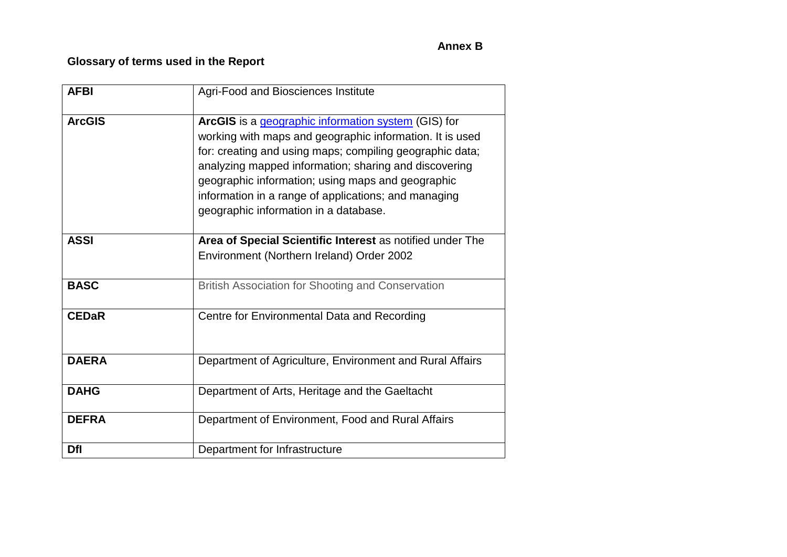## **Annex B**

# **Glossary of terms used in the Report**

| <b>AFBI</b>   | Agri-Food and Biosciences Institute                                                                                                                                                                                                                                                                                                                                                        |
|---------------|--------------------------------------------------------------------------------------------------------------------------------------------------------------------------------------------------------------------------------------------------------------------------------------------------------------------------------------------------------------------------------------------|
| <b>ArcGIS</b> | ArcGIS is a geographic information system (GIS) for<br>working with maps and geographic information. It is used<br>for: creating and using maps; compiling geographic data;<br>analyzing mapped information; sharing and discovering<br>geographic information; using maps and geographic<br>information in a range of applications; and managing<br>geographic information in a database. |
| <b>ASSI</b>   | Area of Special Scientific Interest as notified under The                                                                                                                                                                                                                                                                                                                                  |
|               | Environment (Northern Ireland) Order 2002                                                                                                                                                                                                                                                                                                                                                  |
| <b>BASC</b>   | <b>British Association for Shooting and Conservation</b>                                                                                                                                                                                                                                                                                                                                   |
| <b>CEDaR</b>  | Centre for Environmental Data and Recording                                                                                                                                                                                                                                                                                                                                                |
| <b>DAERA</b>  | Department of Agriculture, Environment and Rural Affairs                                                                                                                                                                                                                                                                                                                                   |
| <b>DAHG</b>   | Department of Arts, Heritage and the Gaeltacht                                                                                                                                                                                                                                                                                                                                             |
| <b>DEFRA</b>  | Department of Environment, Food and Rural Affairs                                                                                                                                                                                                                                                                                                                                          |
| <b>Dfl</b>    | Department for Infrastructure                                                                                                                                                                                                                                                                                                                                                              |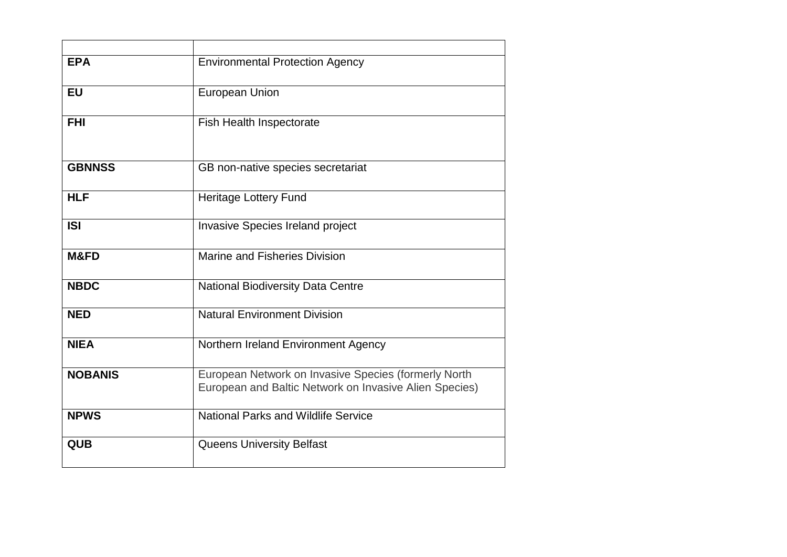| <b>EPA</b>     | <b>Environmental Protection Agency</b>                                                                         |
|----------------|----------------------------------------------------------------------------------------------------------------|
| <b>EU</b>      | European Union                                                                                                 |
| <b>FHI</b>     | <b>Fish Health Inspectorate</b>                                                                                |
| <b>GBNNSS</b>  | GB non-native species secretariat                                                                              |
| <b>HLF</b>     | <b>Heritage Lottery Fund</b>                                                                                   |
| <b>ISI</b>     | <b>Invasive Species Ireland project</b>                                                                        |
| M&FD           | Marine and Fisheries Division                                                                                  |
| <b>NBDC</b>    | National Biodiversity Data Centre                                                                              |
| <b>NED</b>     | <b>Natural Environment Division</b>                                                                            |
| <b>NIEA</b>    | Northern Ireland Environment Agency                                                                            |
| <b>NOBANIS</b> | European Network on Invasive Species (formerly North<br>European and Baltic Network on Invasive Alien Species) |
| <b>NPWS</b>    | <b>National Parks and Wildlife Service</b>                                                                     |
| <b>QUB</b>     | <b>Queens University Belfast</b>                                                                               |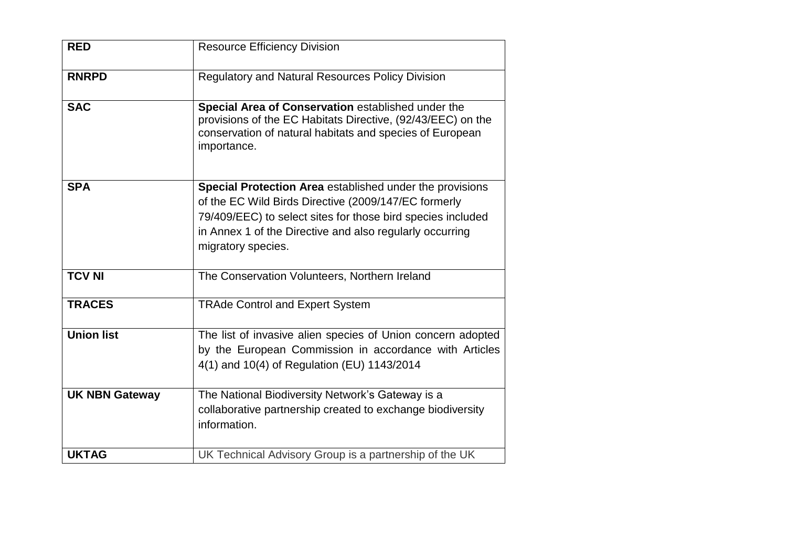| <b>RED</b>            | <b>Resource Efficiency Division</b>                                                                                                                                                                                                                               |
|-----------------------|-------------------------------------------------------------------------------------------------------------------------------------------------------------------------------------------------------------------------------------------------------------------|
| <b>RNRPD</b>          | <b>Regulatory and Natural Resources Policy Division</b>                                                                                                                                                                                                           |
| <b>SAC</b>            | Special Area of Conservation established under the<br>provisions of the EC Habitats Directive, (92/43/EEC) on the<br>conservation of natural habitats and species of European<br>importance.                                                                      |
| <b>SPA</b>            | Special Protection Area established under the provisions<br>of the EC Wild Birds Directive (2009/147/EC formerly<br>79/409/EEC) to select sites for those bird species included<br>in Annex 1 of the Directive and also regularly occurring<br>migratory species. |
| <b>TCV NI</b>         | The Conservation Volunteers, Northern Ireland                                                                                                                                                                                                                     |
| <b>TRACES</b>         | <b>TRAde Control and Expert System</b>                                                                                                                                                                                                                            |
| <b>Union list</b>     | The list of invasive alien species of Union concern adopted<br>by the European Commission in accordance with Articles<br>4(1) and 10(4) of Regulation (EU) 1143/2014                                                                                              |
| <b>UK NBN Gateway</b> | The National Biodiversity Network's Gateway is a<br>collaborative partnership created to exchange biodiversity<br>information.                                                                                                                                    |
| <b>UKTAG</b>          | UK Technical Advisory Group is a partnership of the UK                                                                                                                                                                                                            |